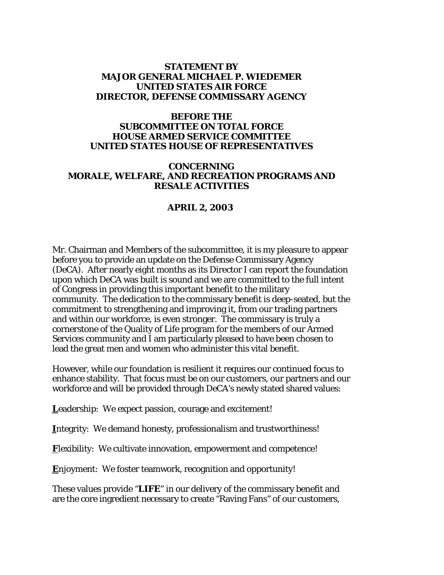#### **STATEMENT BY MAJOR GENERAL MICHAEL P. WIEDEMER UNITED STATES AIR FORCE DIRECTOR, DEFENSE COMMISSARY AGENCY**

### **BEFORE THE SUBCOMMITTEE ON TOTAL FORCE HOUSE ARMED SERVICE COMMITTEE UNITED STATES HOUSE OF REPRESENTATIVES**

#### **CONCERNING MORALE, WELFARE, AND RECREATION PROGRAMS AND RESALE ACTIVITIES**

### **APRIL 2, 2003**

Mr. Chairman and Members of the subcommittee, it is my pleasure to appear before you to provide an update on the Defense Commissary Agency (DeCA). After nearly eight months as its Director I can report the foundation upon which DeCA was built is sound and we are committed to the full intent of Congress in providing this important benefit to the military community. The dedication to the commissary benefit is deep-seated, but the commitment to strengthening and improving it, from our trading partners and within our workforce, is even stronger. The commissary is truly a cornerstone of the Quality of Life program for the members of our Armed Services community and I am particularly pleased to have been chosen to lead the great men and women who administer this vital benefit.

However, while our foundation is resilient it requires our continued focus to enhance stability. That focus must be on our customers, our partners and our workforce and will be provided through DeCA's newly stated shared values:

Leadership: We expect passion, courage and excitement!

**I**ntegrity: We demand honesty, professionalism and trustworthiness!

**Flexibility:** We cultivate innovation, empowerment and competence!

**E**njoyment: We foster teamwork, recognition and opportunity!

These values provide "**LIFE**" in our delivery of the commissary benefit and are the core ingredient necessary to create "Raving Fans" of our customers,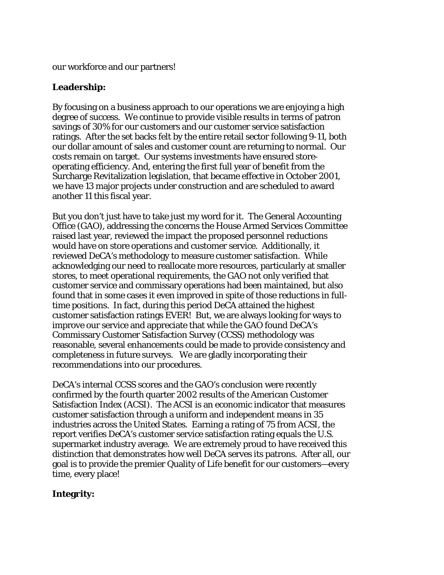our workforce and our partners!

## **Leadership:**

By focusing on a business approach to our operations we are enjoying a high degree of success. We continue to provide visible results in terms of patron savings of 30% for our customers and our customer service satisfaction ratings. After the set backs felt by the entire retail sector following 9-11, both our dollar amount of sales and customer count are returning to normal. Our costs remain on target. Our systems investments have ensured storeoperating efficiency. And, entering the first full year of benefit from the Surcharge Revitalization legislation, that became effective in October 2001, we have 13 major projects under construction and are scheduled to award another 11 this fiscal year.

But you don't just have to take just my word for it. The General Accounting Office (GAO), addressing the concerns the House Armed Services Committee raised last year, reviewed the impact the proposed personnel reductions would have on store operations and customer service. Additionally, it reviewed DeCA's methodology to measure customer satisfaction. While acknowledging our need to reallocate more resources, particularly at smaller stores, to meet operational requirements, the GAO not only verified that customer service and commissary operations had been maintained, but also found that in some cases it even improved in spite of those reductions in fulltime positions. In fact, during this period DeCA attained the highest customer satisfaction ratings EVER! But, we are always looking for ways to improve our service and appreciate that while the GAO found DeCA's Commissary Customer Satisfaction Survey (CCSS) methodology was reasonable, several enhancements could be made to provide consistency and completeness in future surveys. We are gladly incorporating their recommendations into our procedures.

DeCA's internal CCSS scores and the GAO's conclusion were recently confirmed by the fourth quarter 2002 results of the American Customer Satisfaction Index (ACSI). The ACSI is an economic indicator that measures customer satisfaction through a uniform and independent means in 35 industries across the United States. Earning a rating of 75 from ACSI, the report verifies DeCA's customer service satisfaction rating equals the U.S. supermarket industry average. We are extremely proud to have received this distinction that demonstrates how well DeCA serves its patrons. After all, our goal is to provide the premier Quality of Life benefit for our customers—every time, every place!

### **Integrity:**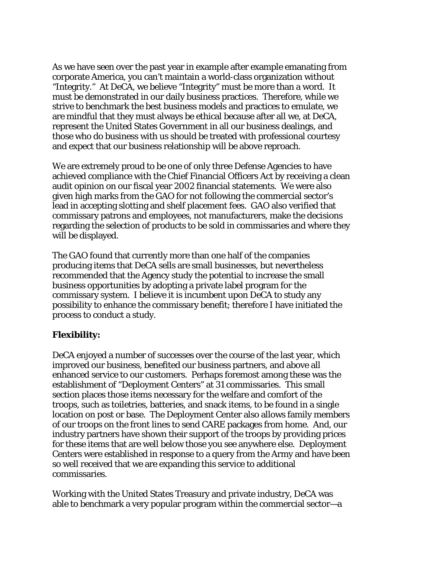As we have seen over the past year in example after example emanating from corporate America, you can't maintain a world-class organization without "Integrity." At DeCA, we believe "Integrity" must be more than a word. It must be demonstrated in our daily business practices. Therefore, while we strive to benchmark the best business models and practices to emulate, we are mindful that they must always be ethical because after all we, at DeCA, represent the United States Government in all our business dealings, and those who do business with us should be treated with professional courtesy and expect that our business relationship will be above reproach.

We are extremely proud to be one of only three Defense Agencies to have achieved compliance with the Chief Financial Officers Act by receiving a clean audit opinion on our fiscal year 2002 financial statements. We were also given high marks from the GAO for not following the commercial sector's lead in accepting slotting and shelf placement fees. GAO also verified that commissary patrons and employees, not manufacturers, make the decisions regarding the selection of products to be sold in commissaries and where they will be displayed.

The GAO found that currently more than one half of the companies producing items that DeCA sells are small businesses, but nevertheless recommended that the Agency study the potential to increase the small business opportunities by adopting a private label program for the commissary system. I believe it is incumbent upon DeCA to study any possibility to enhance the commissary benefit; therefore I have initiated the process to conduct a study.

# **Flexibility:**

DeCA enjoyed a number of successes over the course of the last year, which improved our business, benefited our business partners, and above all enhanced service to our customers. Perhaps foremost among these was the establishment of "Deployment Centers" at 31 commissaries. This small section places those items necessary for the welfare and comfort of the troops, such as toiletries, batteries, and snack items, to be found in a single location on post or base. The Deployment Center also allows family members of our troops on the front lines to send CARE packages from home. And, our industry partners have shown their support of the troops by providing prices for these items that are well below those you see anywhere else. Deployment Centers were established in response to a query from the Army and have been so well received that we are expanding this service to additional commissaries.

Working with the United States Treasury and private industry, DeCA was able to benchmark a very popular program within the commercial sector—a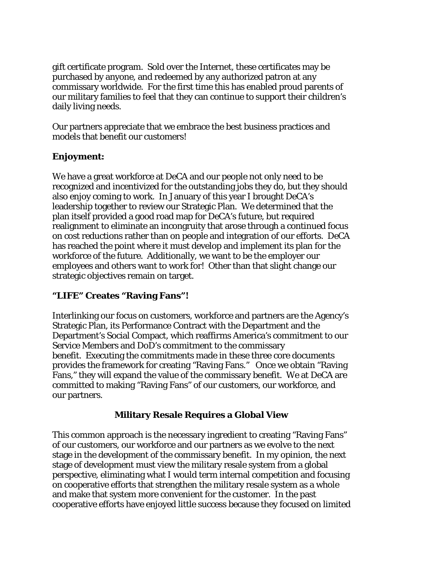gift certificate program. Sold over the Internet, these certificates may be purchased by anyone, and redeemed by any authorized patron at any commissary worldwide. For the first time this has enabled proud parents of our military families to feel that they can continue to support their children's daily living needs.

Our partners appreciate that we embrace the best business practices and models that benefit our customers!

# **Enjoyment:**

We have a great workforce at DeCA and our people not only need to be recognized and incentivized for the outstanding jobs they do, but they should also enjoy coming to work. In January of this year I brought DeCA's leadership together to review our Strategic Plan. We determined that the plan itself provided a good road map for DeCA's future, but required realignment to eliminate an incongruity that arose through a continued focus on cost reductions rather than on people and integration of our efforts. DeCA has reached the point where it must develop and implement its plan for the workforce of the future. Additionally, we want to be the employer our employees and others want to work for! Other than that slight change our strategic objectives remain on target.

# **"LIFE" Creates "Raving Fans"!**

Interlinking our focus on customers, workforce and partners are the Agency's Strategic Plan, its Performance Contract with the Department and the Department's Social Compact, which reaffirms America's commitment to our Service Members and DoD's commitment to the commissary benefit. Executing the commitments made in these three core documents provides the framework for creating "Raving Fans." Once we obtain "Raving Fans," they will expand the value of the commissary benefit. We at DeCA are committed to making "Raving Fans" of our customers, our workforce, and our partners.

### **Military Resale Requires a Global View**

This common approach is the necessary ingredient to creating "Raving Fans" of our customers, our workforce and our partners as we evolve to the next stage in the development of the commissary benefit. In my opinion, the next stage of development must view the military resale system from a global perspective, eliminating what I would term internal competition and focusing on cooperative efforts that strengthen the military resale system as a whole and make that system more convenient for the customer. In the past cooperative efforts have enjoyed little success because they focused on limited